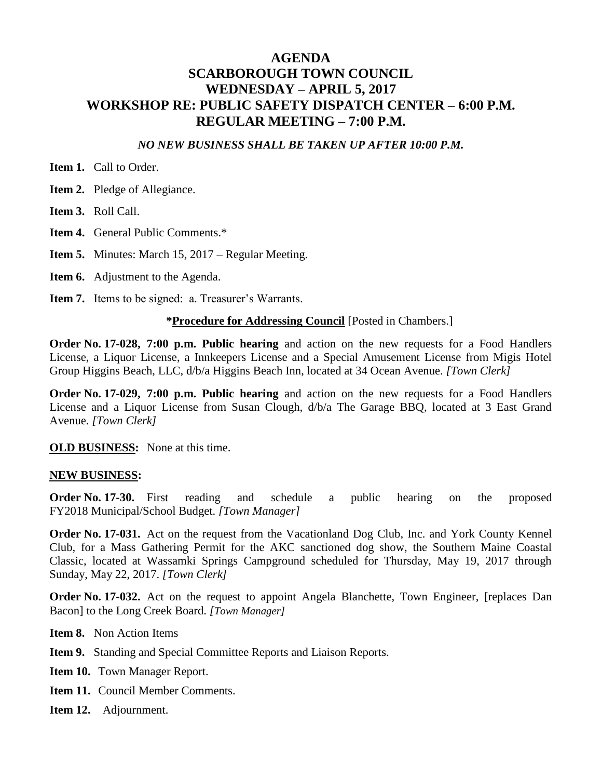#### **AGENDA SCARBOROUGH TOWN COUNCIL WEDNESDAY – APRIL 5, 2017 WORKSHOP RE: PUBLIC SAFETY DISPATCH CENTER – 6:00 P.M. REGULAR MEETING – 7:00 P.M.**

#### *NO NEW BUSINESS SHALL BE TAKEN UP AFTER 10:00 P.M.*

**Item 1.** Call to Order.

**Item 2.** Pledge of Allegiance.

**Item 3.** Roll Call.

**Item 4.** General Public Comments.\*

**Item 5.** Minutes: March 15, 2017 – Regular Meeting.

**Item 6.** Adjustment to the Agenda.

**Item 7.** Items to be signed: a. Treasurer's Warrants.

#### **\*Procedure for Addressing Council** [Posted in Chambers.]

**Order No. 17-028, 7:00 p.m. Public hearing** and action on the new requests for a Food Handlers License, a Liquor License, a Innkeepers License and a Special Amusement License from Migis Hotel Group Higgins Beach, LLC, d/b/a Higgins Beach Inn, located at 34 Ocean Avenue. *[Town Clerk]*

**Order No. 17-029, 7:00 p.m. Public hearing** and action on the new requests for a Food Handlers License and a Liquor License from Susan Clough, d/b/a The Garage BBQ, located at 3 East Grand Avenue. *[Town Clerk]*

**OLD BUSINESS:** None at this time.

#### **NEW BUSINESS:**

**Order No. 17-30.** First reading and schedule a public hearing on the proposed FY2018 Municipal/School Budget. *[Town Manager]*

**Order No. 17-031.** Act on the request from the Vacationland Dog Club, Inc. and York County Kennel Club, for a Mass Gathering Permit for the AKC sanctioned dog show, the Southern Maine Coastal Classic, located at Wassamki Springs Campground scheduled for Thursday, May 19, 2017 through Sunday, May 22, 2017. *[Town Clerk]*

**Order No. 17-032.** Act on the request to appoint Angela Blanchette, Town Engineer, [replaces Dan Bacon] to the Long Creek Board. *[Town Manager]*

**Item 8.** Non Action Items

**Item 9.** Standing and Special Committee Reports and Liaison Reports.

**Item 10.** Town Manager Report.

**Item 11.** Council Member Comments.

**Item 12.** Adjournment.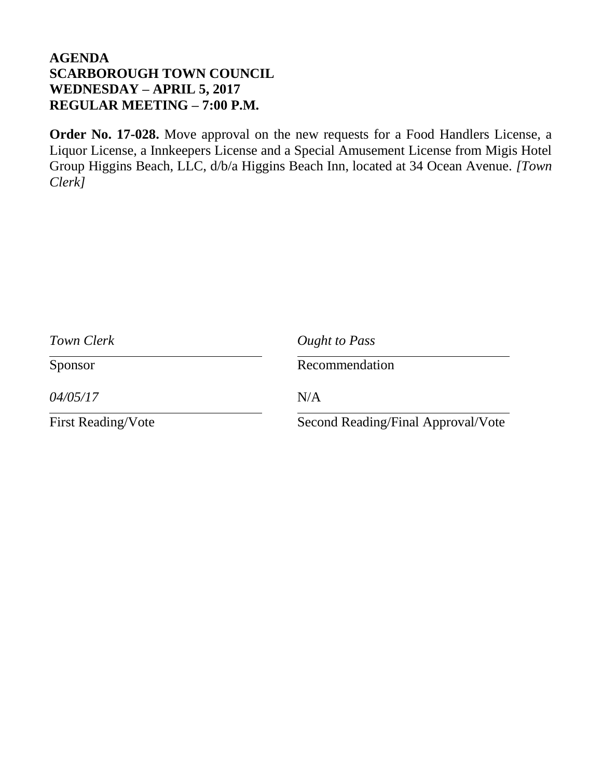**Order No. 17-028.** Move approval on the new requests for a Food Handlers License, a Liquor License, a Innkeepers License and a Special Amusement License from Migis Hotel Group Higgins Beach, LLC, d/b/a Higgins Beach Inn, located at 34 Ocean Avenue. *[Town Clerk]*

| Town Clerk                | Ought to Pass                      |
|---------------------------|------------------------------------|
| Sponsor                   | Recommendation                     |
| 04/05/17                  | N/A                                |
| <b>First Reading/Vote</b> | Second Reading/Final Approval/Vote |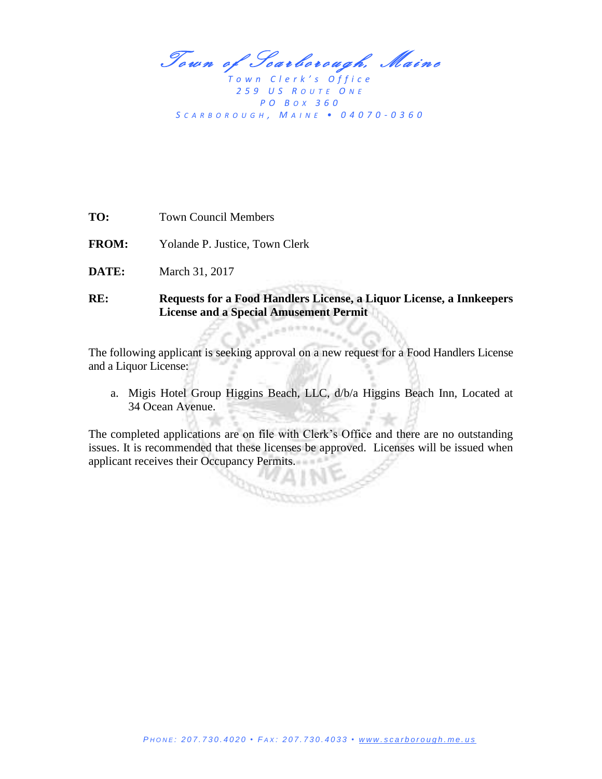Town of Scarborough, Maine

*T o w n C l e r k ' s O f f i c e 2 5 9 U S R O U T E O N E P O B OX 3 6 0 S C A R B O R O U G H , M A I N E • 0 4 0 7 0 - 0 3 6 0*

**FROM:** Yolande P. Justice, Town Clerk

**DATE:** March 31, 2017

#### **RE: Requests for a Food Handlers License, a Liquor License, a Innkeepers License and a Special Amusement Permit**

The following applicant is seeking approval on a new request for a Food Handlers License and a Liquor License:

a. Migis Hotel Group Higgins Beach, LLC, d/b/a Higgins Beach Inn, Located at 34 Ocean Avenue.

The completed applications are on file with Clerk's Office and there are no outstanding issues. It is recommended that these licenses be approved. Licenses will be issued when applicant receives their Occupancy Permits.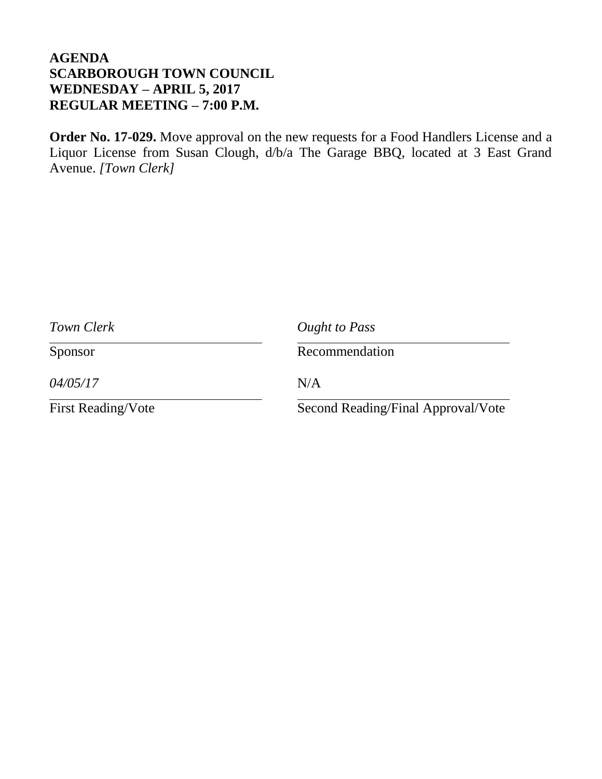**Order No. 17-029.** Move approval on the new requests for a Food Handlers License and a Liquor License from Susan Clough, d/b/a The Garage BBQ, located at 3 East Grand Avenue. *[Town Clerk]*

| Town Clerk                | Ought to Pass                      |
|---------------------------|------------------------------------|
| Sponsor                   | Recommendation                     |
| 04/05/17                  | N/A                                |
| <b>First Reading/Vote</b> | Second Reading/Final Approval/Vote |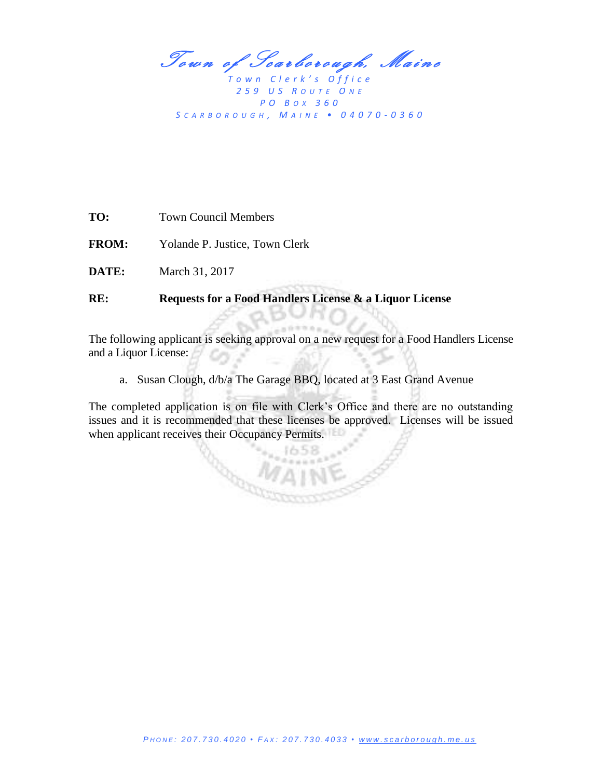Town of Scarborough, Maine

*T o w n C l e r k ' s O f f i c e 2 5 9 U S R O U T E O N E P O B OX 3 6 0 S C A R B O R O U G H , M A I N E • 0 4 0 7 0 - 0 3 6 0*

**TO:** Town Council Members

**FROM:** Yolande P. Justice, Town Clerk

**DATE:** March 31, 2017

**RE: Requests for a Food Handlers License & a Liquor License**

1000

The following applicant is seeking approval on a new request for a Food Handlers License and a Liquor License:

a. Susan Clough, d/b/a The Garage BBQ, located at 3 East Grand Avenue

The completed application is on file with Clerk's Office and there are no outstanding issues and it is recommended that these licenses be approved. Licenses will be issued when applicant receives their Occupancy Permits.

 $n \geq n \geq 2$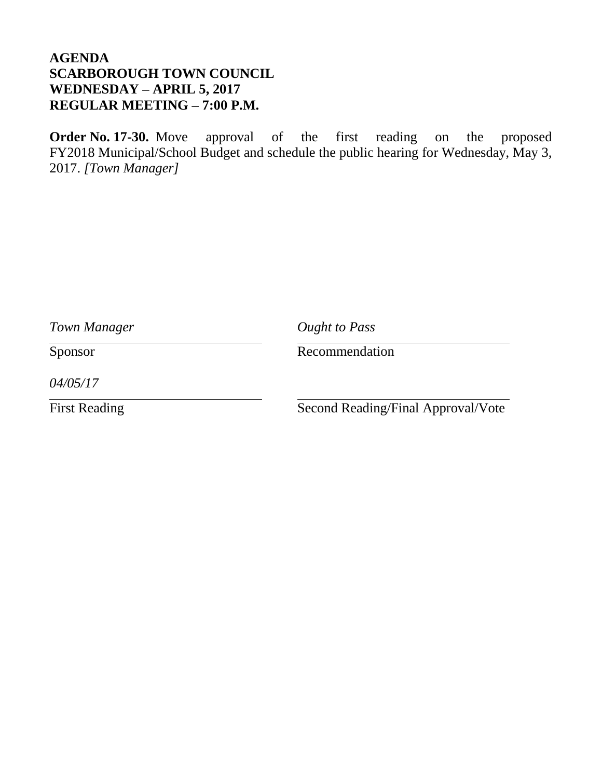**Order No. 17-30.** Move approval of the first reading on the proposed FY2018 Municipal/School Budget and schedule the public hearing for Wednesday, May 3, 2017. *[Town Manager]*

| Town Manager         | <b>Ought to Pass</b>               |
|----------------------|------------------------------------|
| Sponsor              | Recommendation                     |
| 04/05/17             |                                    |
| <b>First Reading</b> | Second Reading/Final Approval/Vote |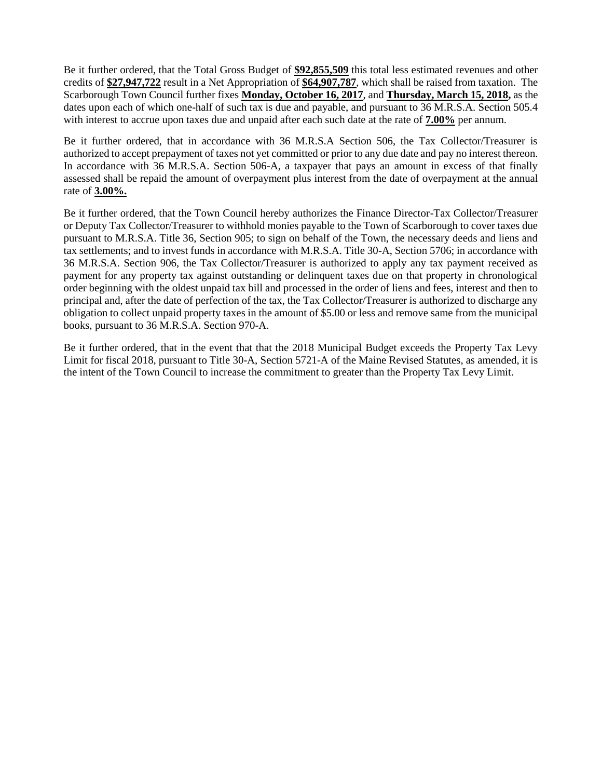Be it further ordered, that the Total Gross Budget of **\$92,855,509** this total less estimated revenues and other credits of **\$27,947,722** result in a Net Appropriation of **\$64,907,787**, which shall be raised from taxation. The Scarborough Town Council further fixes **Monday, October 16, 2017**, and **Thursday, March 15, 2018,** as the dates upon each of which one-half of such tax is due and payable, and pursuant to 36 M.R.S.A. Section 505.4 with interest to accrue upon taxes due and unpaid after each such date at the rate of **7.00%** per annum.

Be it further ordered, that in accordance with 36 M.R.S.A Section 506, the Tax Collector/Treasurer is authorized to accept prepayment of taxes not yet committed or prior to any due date and pay no interest thereon. In accordance with 36 M.R.S.A. Section 506-A, a taxpayer that pays an amount in excess of that finally assessed shall be repaid the amount of overpayment plus interest from the date of overpayment at the annual rate of **3.00%.**

Be it further ordered, that the Town Council hereby authorizes the Finance Director-Tax Collector/Treasurer or Deputy Tax Collector/Treasurer to withhold monies payable to the Town of Scarborough to cover taxes due pursuant to M.R.S.A. Title 36, Section 905; to sign on behalf of the Town, the necessary deeds and liens and tax settlements; and to invest funds in accordance with M.R.S.A. Title 30-A, Section 5706; in accordance with 36 M.R.S.A. Section 906, the Tax Collector/Treasurer is authorized to apply any tax payment received as payment for any property tax against outstanding or delinquent taxes due on that property in chronological order beginning with the oldest unpaid tax bill and processed in the order of liens and fees, interest and then to principal and, after the date of perfection of the tax, the Tax Collector/Treasurer is authorized to discharge any obligation to collect unpaid property taxes in the amount of \$5.00 or less and remove same from the municipal books, pursuant to 36 M.R.S.A. Section 970-A.

Be it further ordered, that in the event that that the 2018 Municipal Budget exceeds the Property Tax Levy Limit for fiscal 2018, pursuant to Title 30-A, Section 5721-A of the Maine Revised Statutes, as amended, it is the intent of the Town Council to increase the commitment to greater than the Property Tax Levy Limit.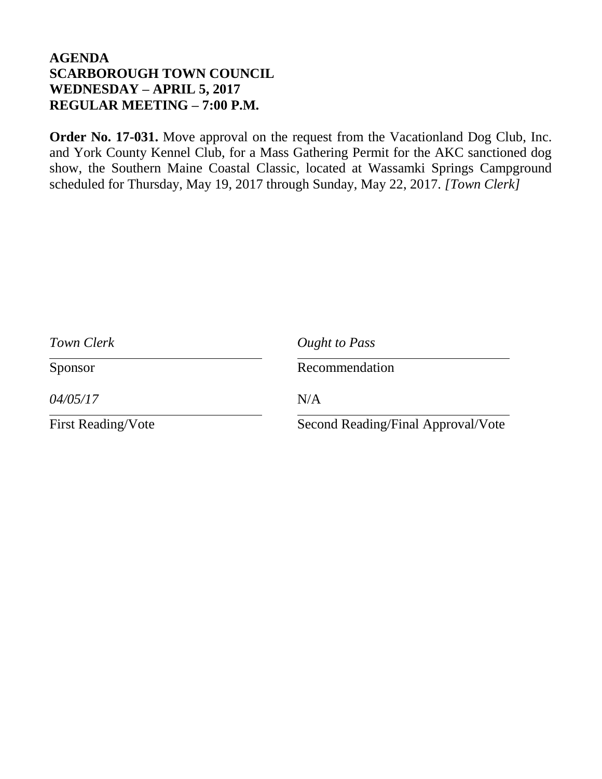**Order No. 17-031.** Move approval on the request from the Vacationland Dog Club, Inc. and York County Kennel Club, for a Mass Gathering Permit for the AKC sanctioned dog show, the Southern Maine Coastal Classic, located at Wassamki Springs Campground scheduled for Thursday, May 19, 2017 through Sunday, May 22, 2017. *[Town Clerk]*

| Town Clerk                | Ought to Pass                      |
|---------------------------|------------------------------------|
| Sponsor                   | Recommendation                     |
| 04/05/17                  | N/A                                |
| <b>First Reading/Vote</b> | Second Reading/Final Approval/Vote |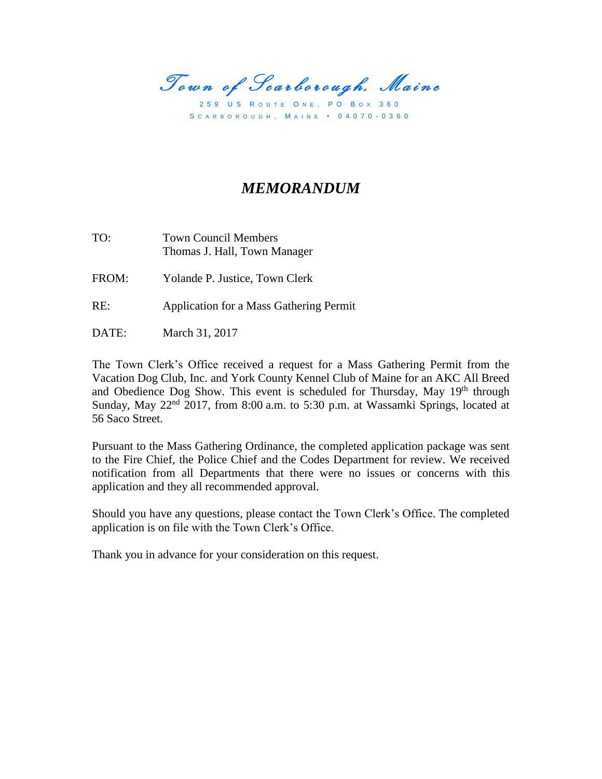Town of Scarborough, Maine

259 US ROUTE ONE, PO BOX 360 S C A R B O R O U G H , M A I N E • 0 4 0 7 0 - 0 3 6 0

# *MEMORANDUM*

TO: Town Council Members Thomas J. Hall, Town Manager

FROM: Yolande P. Justice, Town Clerk

- RE: Application for a Mass Gathering Permit
- DATE: March 31, 2017

The Town Clerk's Office received a request for a Mass Gathering Permit from the Vacation Dog Club, Inc. and York County Kennel Club of Maine for an AKC All Breed and Obedience Dog Show. This event is scheduled for Thursday, May 19<sup>th</sup> through Sunday, May 22<sup>nd</sup> 2017, from 8:00 a.m. to 5:30 p.m. at Wassamki Springs, located at 56 Saco Street.

Pursuant to the Mass Gathering Ordinance, the completed application package was sent to the Fire Chief, the Police Chief and the Codes Department for review. We received notification from all Departments that there were no issues or concerns with this application and they all recommended approval.

Should you have any questions, please contact the Town Clerk's Office. The completed application is on file with the Town Clerk's Office.

Thank you in advance for your consideration on this request.